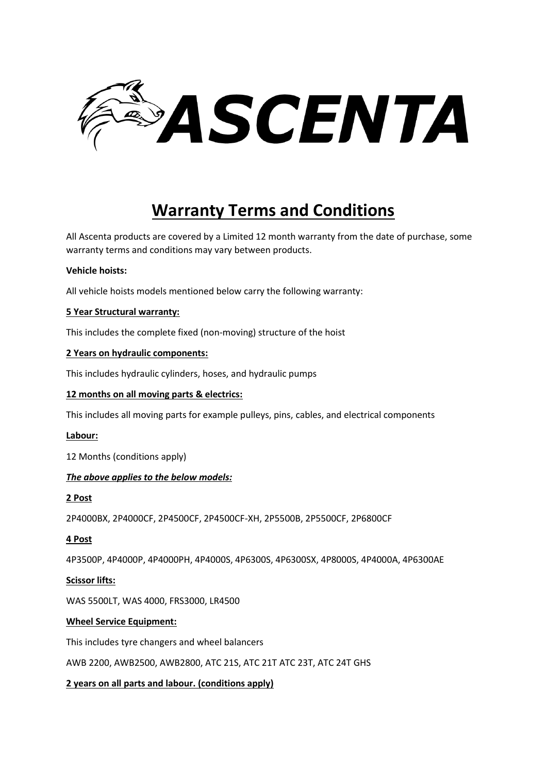

# **Warranty Terms and Conditions**

All Ascenta products are covered by a Limited 12 month warranty from the date of purchase, some warranty terms and conditions may vary between products.

#### **Vehicle hoists:**

All vehicle hoists models mentioned below carry the following warranty:

## **5 Year Structural warranty:**

This includes the complete fixed (non-moving) structure of the hoist

## **2 Years on hydraulic components:**

This includes hydraulic cylinders, hoses, and hydraulic pumps

#### **12 months on all moving parts & electrics:**

This includes all moving parts for example pulleys, pins, cables, and electrical components

#### **Labour:**

12 Months (conditions apply)

# *The above applies to the below models:*

# **2 Post**

2P4000BX, 2P4000CF, 2P4500CF, 2P4500CF-XH, 2P5500B, 2P5500CF, 2P6800CF

# **4 Post**

4P3500P, 4P4000P, 4P4000PH, 4P4000S, 4P6300S, 4P6300SX, 4P8000S, 4P4000A, 4P6300AE

#### **Scissor lifts:**

WAS 5500LT, WAS 4000, FRS3000, LR4500

# **Wheel Service Equipment:**

This includes tyre changers and wheel balancers

AWB 2200, AWB2500, AWB2800, ATC 21S, ATC 21T ATC 23T, ATC 24T GHS

# **2 years on all parts and labour. (conditions apply)**